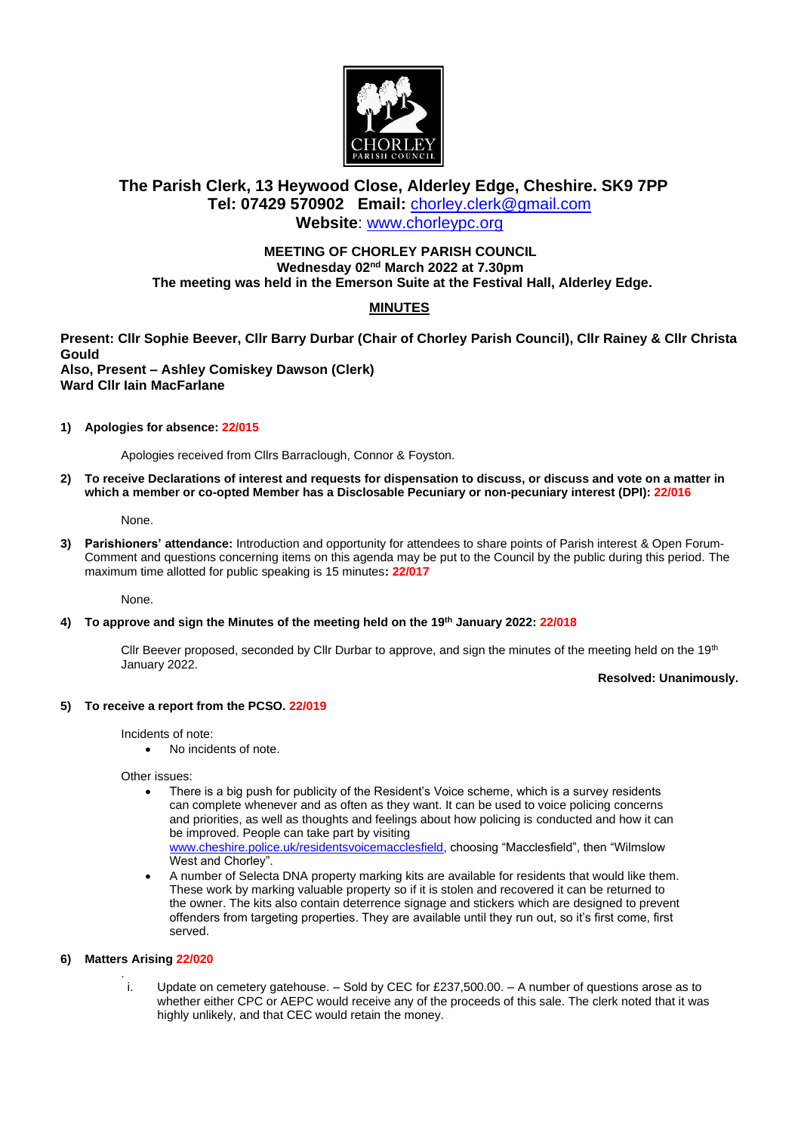

# **The Parish Clerk, 13 Heywood Close, Alderley Edge, Cheshire. SK9 7PP Tel: 07429 570902 Email:** [chorley.clerk@gmail.com](mailto:chorley.clerk@gmail.com) **Website**: [www.chorleypc.org](http://www.chorleypc.org/)

# **MEETING OF CHORLEY PARISH COUNCIL Wednesday 02nd March 2022 at 7.30pm The meeting was held in the Emerson Suite at the Festival Hall, Alderley Edge.**

# **MINUTES**

**Present: Cllr Sophie Beever, Cllr Barry Durbar (Chair of Chorley Parish Council), Cllr Rainey & Cllr Christa Gould Also, Present – Ashley Comiskey Dawson (Clerk) Ward Cllr Iain MacFarlane**

**1) Apologies for absence: 22/015**

Apologies received from Cllrs Barraclough, Connor & Foyston.

**2) To receive Declarations of interest and requests for dispensation to discuss, or discuss and vote on a matter in which a member or co-opted Member has a Disclosable Pecuniary or non-pecuniary interest (DPI): 22/016**

None.

**3) Parishioners' attendance:** Introduction and opportunity for attendees to share points of Parish interest & Open Forum-Comment and questions concerning items on this agenda may be put to the Council by the public during this period. The maximum time allotted for public speaking is 15 minutes**: 22/017**

None.

## **4) To approve and sign the Minutes of the meeting held on the 19th January 2022: 22/018**

Cllr Beever proposed, seconded by Cllr Durbar to approve, and sign the minutes of the meeting held on the 19<sup>th</sup> January 2022.

## **Resolved: Unanimously.**

## **5) To receive a report from the PCSO. 22/019**

Incidents of note:

• No incidents of note.

Other issues:

- There is a big push for publicity of the Resident's Voice scheme, which is a survey residents can complete whenever and as often as they want. It can be used to voice policing concerns and priorities, as well as thoughts and feelings about how policing is conducted and how it can be improved. People can take part by visiting [www.cheshire.police.uk/residentsvoicemacclesfield,](http://www.cheshire.police.uk/residentsvoicemacclesfield) choosing "Macclesfield", then "Wilmslow West and Chorley".
- A number of Selecta DNA property marking kits are available for residents that would like them. These work by marking valuable property so if it is stolen and recovered it can be returned to the owner. The kits also contain deterrence signage and stickers which are designed to prevent offenders from targeting properties. They are available until they run out, so it's first come, first served.

## **6) Matters Arising 22/020**

. i. Update on cemetery gatehouse. – Sold by CEC for £237,500.00. – A number of questions arose as to whether either CPC or AEPC would receive any of the proceeds of this sale. The clerk noted that it was highly unlikely, and that CEC would retain the money.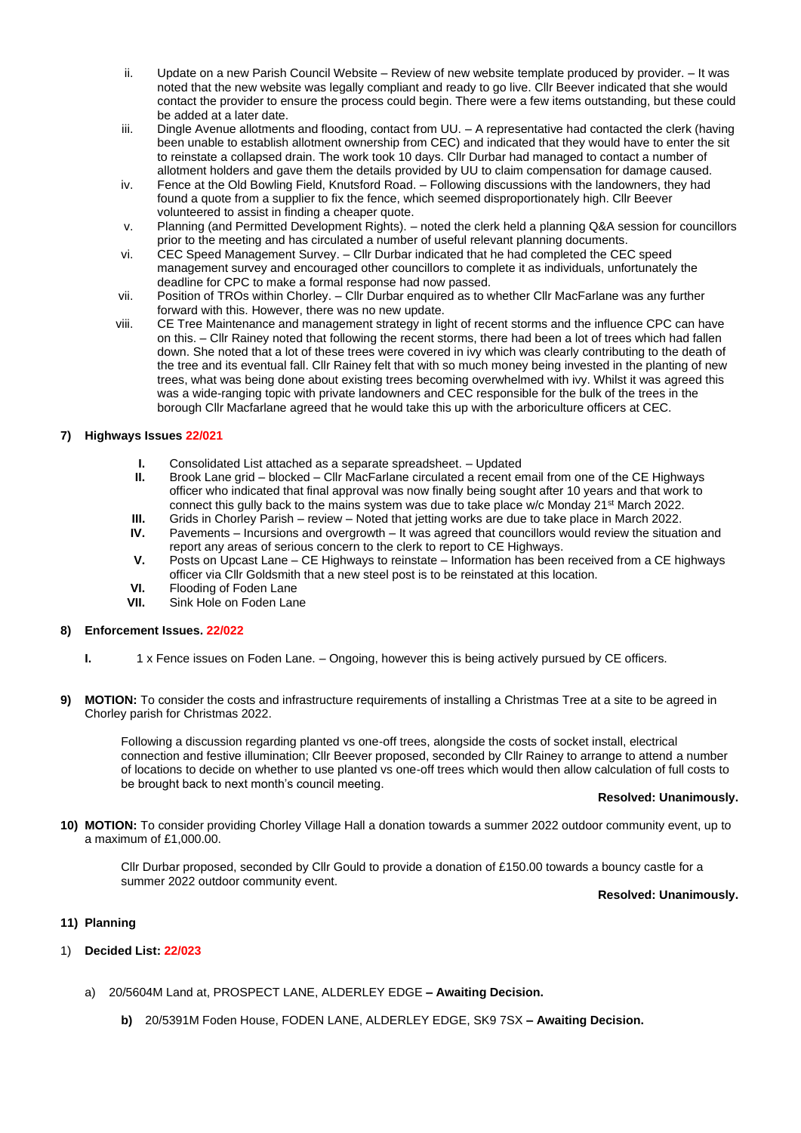- ii. Update on a new Parish Council Website Review of new website template produced by provider. It was noted that the new website was legally compliant and ready to go live. Cllr Beever indicated that she would contact the provider to ensure the process could begin. There were a few items outstanding, but these could be added at a later date.
- iii. Dingle Avenue allotments and flooding, contact from UU. A representative had contacted the clerk (having been unable to establish allotment ownership from CEC) and indicated that they would have to enter the sit to reinstate a collapsed drain. The work took 10 days. Cllr Durbar had managed to contact a number of allotment holders and gave them the details provided by UU to claim compensation for damage caused.
- iv. Fence at the Old Bowling Field, Knutsford Road. Following discussions with the landowners, they had found a quote from a supplier to fix the fence, which seemed disproportionately high. Cllr Beever volunteered to assist in finding a cheaper quote.
- v. Planning (and Permitted Development Rights). noted the clerk held a planning Q&A session for councillors prior to the meeting and has circulated a number of useful relevant planning documents.
- vi. CEC Speed Management Survey. Cllr Durbar indicated that he had completed the CEC speed management survey and encouraged other councillors to complete it as individuals, unfortunately the deadline for CPC to make a formal response had now passed.
- vii. Position of TROs within Chorley. Cllr Durbar enquired as to whether Cllr MacFarlane was any further forward with this. However, there was no new update.
- viii. CE Tree Maintenance and management strategy in light of recent storms and the influence CPC can have on this. – Cllr Rainey noted that following the recent storms, there had been a lot of trees which had fallen down. She noted that a lot of these trees were covered in ivy which was clearly contributing to the death of the tree and its eventual fall. Cllr Rainey felt that with so much money being invested in the planting of new trees, what was being done about existing trees becoming overwhelmed with ivy. Whilst it was agreed this was a wide-ranging topic with private landowners and CEC responsible for the bulk of the trees in the borough Cllr Macfarlane agreed that he would take this up with the arboriculture officers at CEC.

## **7) Highways Issues 22/021**

- **I.** Consolidated List attached as a separate spreadsheet. Updated
- **II.** Brook Lane grid blocked Cllr MacFarlane circulated a recent email from one of the CE Highways officer who indicated that final approval was now finally being sought after 10 years and that work to connect this gully back to the mains system was due to take place w/c Monday 21<sup>st</sup> March 2022.
- **III.** Grids in Chorley Parish review Noted that jetting works are due to take place in March 2022.
- **IV.** Pavements Incursions and overgrowth It was agreed that councillors would review the situation and report any areas of serious concern to the clerk to report to CE Highways.
- **V.** Posts on Upcast Lane CE Highways to reinstate Information has been received from a CE highways officer via Cllr Goldsmith that a new steel post is to be reinstated at this location.
- **VI.** Flooding of Foden Lane<br>**VII.** Sink Hole on Foden Lan
- Sink Hole on Foden Lane

## **8) Enforcement Issues. 22/022**

- **I.** 1 x Fence issues on Foden Lane. Ongoing, however this is being actively pursued by CE officers.
- **9) MOTION:** To consider the costs and infrastructure requirements of installing a Christmas Tree at a site to be agreed in Chorley parish for Christmas 2022.

Following a discussion regarding planted vs one-off trees, alongside the costs of socket install, electrical connection and festive illumination; Cllr Beever proposed, seconded by Cllr Rainey to arrange to attend a number of locations to decide on whether to use planted vs one-off trees which would then allow calculation of full costs to be brought back to next month's council meeting.

### **Resolved: Unanimously.**

**10) MOTION:** To consider providing Chorley Village Hall a donation towards a summer 2022 outdoor community event, up to a maximum of £1,000.00.

Cllr Durbar proposed, seconded by Cllr Gould to provide a donation of £150.00 towards a bouncy castle for a summer 2022 outdoor community event.

### **Resolved: Unanimously.**

## **11) Planning**

## 1) **Decided List: 22/023**

- a) 20/5604M Land at, PROSPECT LANE, ALDERLEY EDGE **– Awaiting Decision.**
	- **b)** 20/5391M Foden House, FODEN LANE, ALDERLEY EDGE, SK9 7SX **– Awaiting Decision.**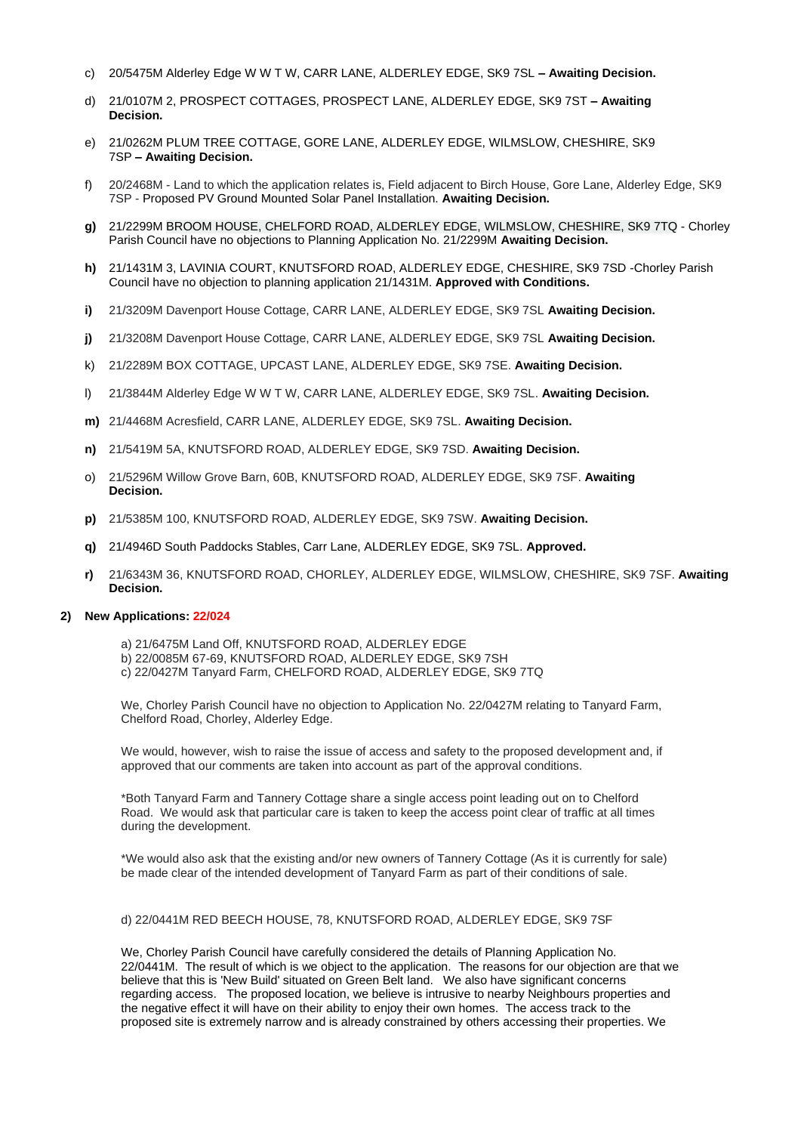- c) 20/5475M Alderley Edge W W T W, CARR LANE, ALDERLEY EDGE, SK9 7SL **– Awaiting Decision.**
- d) 21/0107M 2, PROSPECT COTTAGES, PROSPECT LANE, ALDERLEY EDGE, SK9 7ST **– Awaiting Decision.**
- e) 21/0262M PLUM TREE COTTAGE, GORE LANE, ALDERLEY EDGE, WILMSLOW, CHESHIRE, SK9 7SP **– Awaiting Decision.**
- f) 20/2468M Land to which the application relates is, Field adjacent to Birch House, Gore Lane, Alderley Edge, SK9 7SP - Proposed PV Ground Mounted Solar Panel Installation. **Awaiting Decision.**
- **g)** 21/2299M BROOM HOUSE, CHELFORD ROAD, ALDERLEY EDGE, WILMSLOW, CHESHIRE, SK9 7TQ Chorley Parish Council have no objections to Planning Application No. 21/2299M **Awaiting Decision.**
- **h)** 21/1431M 3, LAVINIA COURT, KNUTSFORD ROAD, ALDERLEY EDGE, CHESHIRE, SK9 7SD -Chorley Parish Council have no objection to planning application 21/1431M. **Approved with Conditions.**
- **i)** 21/3209M Davenport House Cottage, CARR LANE, ALDERLEY EDGE, SK9 7SL **Awaiting Decision.**
- **j)** 21/3208M Davenport House Cottage, CARR LANE, ALDERLEY EDGE, SK9 7SL **Awaiting Decision.**
- k) 21/2289M BOX COTTAGE, UPCAST LANE, ALDERLEY EDGE, SK9 7SE. **Awaiting Decision.**
- l) 21/3844M Alderley Edge W W T W, CARR LANE, ALDERLEY EDGE, SK9 7SL. **Awaiting Decision.**
- **m)** 21/4468M Acresfield, CARR LANE, ALDERLEY EDGE, SK9 7SL. **Awaiting Decision.**
- **n)** 21/5419M 5A, KNUTSFORD ROAD, ALDERLEY EDGE, SK9 7SD. **Awaiting Decision.**
- o) 21/5296M Willow Grove Barn, 60B, KNUTSFORD ROAD, ALDERLEY EDGE, SK9 7SF. **Awaiting Decision.**
- **p)** 21/5385M 100, KNUTSFORD ROAD, ALDERLEY EDGE, SK9 7SW. **Awaiting Decision.**
- **q)** 21/4946D South Paddocks Stables, Carr Lane, ALDERLEY EDGE, SK9 7SL. **Approved.**
- **r)** 21/6343M 36, KNUTSFORD ROAD, CHORLEY, ALDERLEY EDGE, WILMSLOW, CHESHIRE, SK9 7SF. **Awaiting Decision.**

## **2) New Applications: 22/024**

a) 21/6475M Land Off, KNUTSFORD ROAD, ALDERLEY EDGE b) 22/0085M 67-69, KNUTSFORD ROAD, ALDERLEY EDGE, SK9 7SH c) 22/0427M Tanyard Farm, CHELFORD ROAD, ALDERLEY EDGE, SK9 7TQ

We, Chorley Parish Council have no objection to Application No. 22/0427M relating to Tanyard Farm, Chelford Road, Chorley, Alderley Edge.

We would, however, wish to raise the issue of access and safety to the proposed development and, if approved that our comments are taken into account as part of the approval conditions.

\*Both Tanyard Farm and Tannery Cottage share a single access point leading out on to Chelford Road. We would ask that particular care is taken to keep the access point clear of traffic at all times during the development.

\*We would also ask that the existing and/or new owners of Tannery Cottage (As it is currently for sale) be made clear of the intended development of Tanyard Farm as part of their conditions of sale.

### d) 22/0441M RED BEECH HOUSE, 78, KNUTSFORD ROAD, ALDERLEY EDGE, SK9 7SF

We, Chorley Parish Council have carefully considered the details of Planning Application No. 22/0441M. The result of which is we object to the application. The reasons for our objection are that we believe that this is 'New Build' situated on Green Belt land. We also have significant concerns regarding access. The proposed location, we believe is intrusive to nearby Neighbours properties and the negative effect it will have on their ability to enjoy their own homes. The access track to the proposed site is extremely narrow and is already constrained by others accessing their properties. We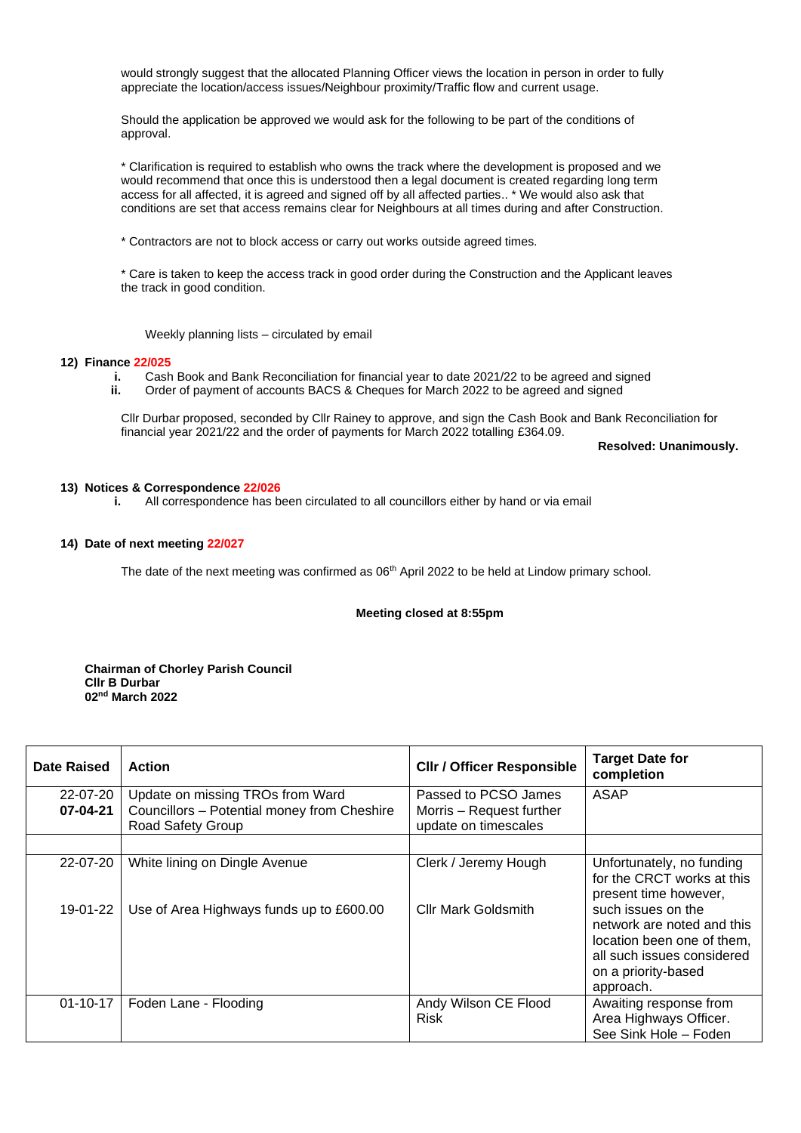would strongly suggest that the allocated Planning Officer views the location in person in order to fully appreciate the location/access issues/Neighbour proximity/Traffic flow and current usage.

Should the application be approved we would ask for the following to be part of the conditions of approval.

\* Clarification is required to establish who owns the track where the development is proposed and we would recommend that once this is understood then a legal document is created regarding long term access for all affected, it is agreed and signed off by all affected parties.. \* We would also ask that conditions are set that access remains clear for Neighbours at all times during and after Construction.

\* Contractors are not to block access or carry out works outside agreed times.

\* Care is taken to keep the access track in good order during the Construction and the Applicant leaves the track in good condition.

Weekly planning lists – circulated by email

#### **12) Finance 22/025**

- **i.** Cash Book and Bank Reconciliation for financial year to date 2021/22 to be agreed and signed **ii.** Order of payment of accounts BACS & Cheques for March 2022 to be agreed and signed
- Order of payment of accounts BACS & Cheques for March 2022 to be agreed and signed

Cllr Durbar proposed, seconded by Cllr Rainey to approve, and sign the Cash Book and Bank Reconciliation for financial year 2021/22 and the order of payments for March 2022 totalling £364.09.

**Resolved: Unanimously.**

#### **13) Notices & Correspondence 22/026**

**i.** All correspondence has been circulated to all councillors either by hand or via email

#### **14) Date of next meeting 22/027**

The date of the next meeting was confirmed as 06<sup>th</sup> April 2022 to be held at Lindow primary school.

### **Meeting closed at 8:55pm**

**Chairman of Chorley Parish Council Cllr B Durbar 02nd March 2022**

| Date Raised          | <b>Action</b>                                                                                        | <b>CIIr / Officer Responsible</b>                                        | <b>Target Date for</b><br>completion                                                                                                             |
|----------------------|------------------------------------------------------------------------------------------------------|--------------------------------------------------------------------------|--------------------------------------------------------------------------------------------------------------------------------------------------|
| 22-07-20<br>07-04-21 | Update on missing TROs from Ward<br>Councillors - Potential money from Cheshire<br>Road Safety Group | Passed to PCSO James<br>Morris – Request further<br>update on timescales | <b>ASAP</b>                                                                                                                                      |
|                      |                                                                                                      |                                                                          |                                                                                                                                                  |
| 22-07-20             | White lining on Dingle Avenue                                                                        | Clerk / Jeremy Hough                                                     | Unfortunately, no funding<br>for the CRCT works at this<br>present time however,                                                                 |
| 19-01-22 l           | Use of Area Highways funds up to £600.00                                                             | <b>Cllr Mark Goldsmith</b>                                               | such issues on the<br>network are noted and this<br>location been one of them.<br>all such issues considered<br>on a priority-based<br>approach. |
| $01 - 10 - 17$       | Foden Lane - Flooding                                                                                | Andy Wilson CE Flood<br><b>Risk</b>                                      | Awaiting response from<br>Area Highways Officer.<br>See Sink Hole - Foden                                                                        |